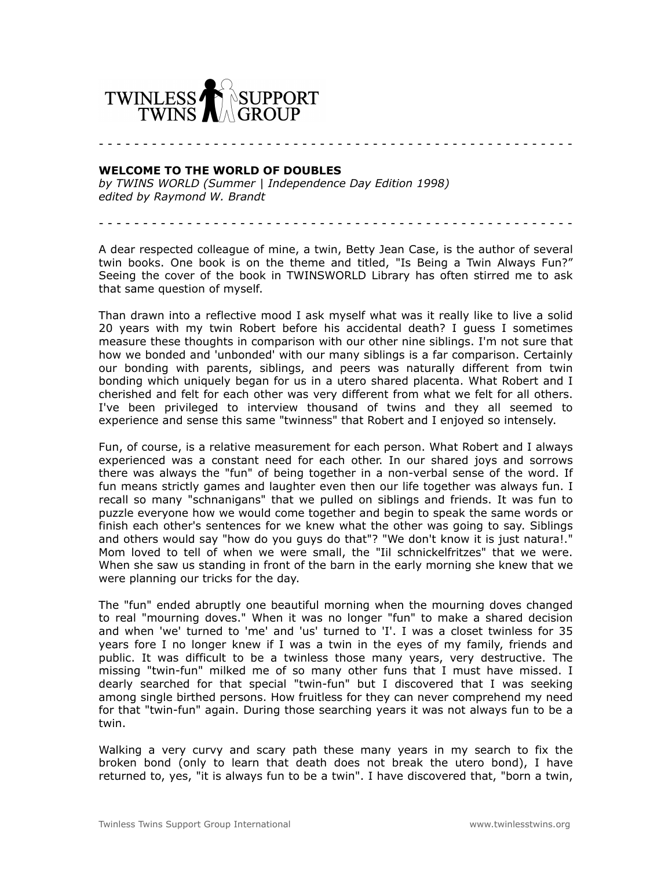

- - - - - - - - - - - - - - - - - - - - - - - - - - - - - - - - - - - - - - - - - - - - - - - - - - - - - -

## **WELCOME TO THE WORLD OF DOUBLES**

*by TWINS WORLD (Summer | Independence Day Edition 1998) edited by Raymond W. Brandt*

A dear respected colleague of mine, a twin, Betty Jean Case, is the author of several twin books. One book is on the theme and titled, "Is Being a Twin Always Fun?" Seeing the cover of the book in TWINSWORLD Library has often stirred me to ask that same question of myself.

Than drawn into a reflective mood I ask myself what was it really like to live a solid 20 years with my twin Robert before his accidental death? I guess I sometimes measure these thoughts in comparison with our other nine siblings. I'm not sure that how we bonded and 'unbonded' with our many siblings is a far comparison. Certainly our bonding with parents, siblings, and peers was naturally different from twin bonding which uniquely began for us in a utero shared placenta. What Robert and I cherished and felt for each other was very different from what we felt for all others. I've been privileged to interview thousand of twins and they all seemed to experience and sense this same "twinness" that Robert and I enjoyed so intensely.

Fun, of course, is a relative measurement for each person. What Robert and I always experienced was a constant need for each other. In our shared joys and sorrows there was always the "fun" of being together in a non-verbal sense of the word. If fun means strictly games and laughter even then our life together was always fun. I recall so many "schnanigans" that we pulled on siblings and friends. It was fun to puzzle everyone how we would come together and begin to speak the same words or finish each other's sentences for we knew what the other was going to say. Siblings and others would say "how do you guys do that"? "We don't know it is just natura!." Mom loved to tell of when we were small, the "Iil schnickelfritzes" that we were. When she saw us standing in front of the barn in the early morning she knew that we were planning our tricks for the day.

The "fun" ended abruptly one beautiful morning when the mourning doves changed to real "mourning doves." When it was no longer "fun" to make a shared decision and when 'we' turned to 'me' and 'us' turned to 'I'. I was a closet twinless for 35 years fore I no longer knew if I was a twin in the eyes of my family, friends and public. It was difficult to be a twinless those many years, very destructive. The missing "twin-fun" milked me of so many other funs that I must have missed. I dearly searched for that special "twin-fun" but I discovered that I was seeking among single birthed persons. How fruitless for they can never comprehend my need for that "twin-fun" again. During those searching years it was not always fun to be a twin.

Walking a very curvy and scary path these many years in my search to fix the broken bond (only to learn that death does not break the utero bond), I have returned to, yes, "it is always fun to be a twin". I have discovered that, "born a twin,